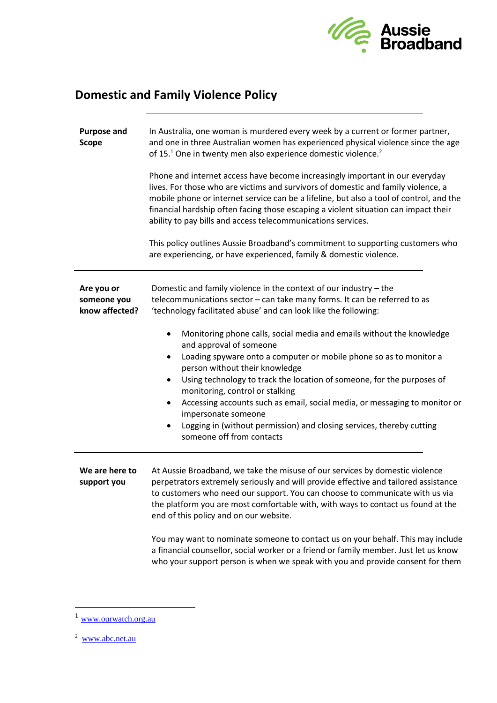

# **Domestic and Family Violence Policy**

| <b>Purpose and</b><br><b>Scope</b>          | In Australia, one woman is murdered every week by a current or former partner,<br>and one in three Australian women has experienced physical violence since the age<br>of 15. <sup>1</sup> One in twenty men also experience domestic violence. <sup>2</sup>                                                                                                                                                        |
|---------------------------------------------|---------------------------------------------------------------------------------------------------------------------------------------------------------------------------------------------------------------------------------------------------------------------------------------------------------------------------------------------------------------------------------------------------------------------|
|                                             | Phone and internet access have become increasingly important in our everyday<br>lives. For those who are victims and survivors of domestic and family violence, a<br>mobile phone or internet service can be a lifeline, but also a tool of control, and the<br>financial hardship often facing those escaping a violent situation can impact their<br>ability to pay bills and access telecommunications services. |
|                                             | This policy outlines Aussie Broadband's commitment to supporting customers who<br>are experiencing, or have experienced, family & domestic violence.                                                                                                                                                                                                                                                                |
| Are you or<br>someone you<br>know affected? | Domestic and family violence in the context of our industry - the<br>telecommunications sector - can take many forms. It can be referred to as<br>'technology facilitated abuse' and can look like the following:<br>Monitoring phone calls, social media and emails without the knowledge<br>٠                                                                                                                     |
|                                             | and approval of someone<br>Loading spyware onto a computer or mobile phone so as to monitor a<br>٠<br>person without their knowledge<br>Using technology to track the location of someone, for the purposes of<br>$\bullet$<br>monitoring, control or stalking<br>Accessing accounts such as email, social media, or messaging to monitor or                                                                        |
|                                             | impersonate someone<br>Logging in (without permission) and closing services, thereby cutting<br>someone off from contacts                                                                                                                                                                                                                                                                                           |
| We are here to<br>support you               | At Aussie Broadband, we take the misuse of our services by domestic violence<br>perpetrators extremely seriously and will provide effective and tailored assistance<br>to customers who need our support. You can choose to communicate with us via<br>the platform you are most comfortable with, with ways to contact us found at the<br>end of this policy and on our website.                                   |
|                                             | You may want to nominate someone to contact us on your behalf. This may include<br>a financial counsellor, social worker or a friend or family member. Just let us know<br>who your support person is when we speak with you and provide consent for them                                                                                                                                                           |

<sup>1</sup> [www.ourwatch.org.au](http://www.ourwatch.org.au/)

<sup>&</sup>lt;sup>2</sup> [www.abc.net.au](file://///chlorine.staff.aussiebb.com.au/Company/Corporate%20Affairs/Community%20Impact/www.abc.net.au)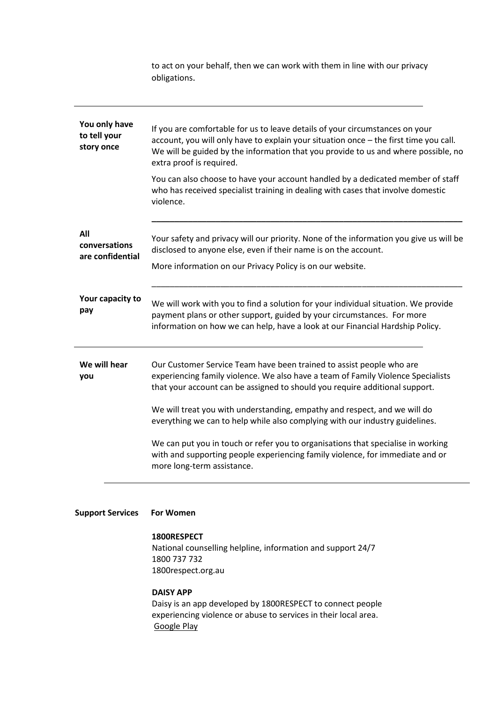obligations. **You only have to tell your story once** If you are comfortable for us to leave details of your circumstances on your account, you will only have to explain your situation once – the first time you call. We will be guided by the information that you provide to us and where possible, no extra proof is required. You can also choose to have your account handled by a dedicated member of staff who has received specialist training in dealing with cases that involve domestic violence. \_\_\_\_\_\_\_\_\_\_\_\_\_\_\_\_\_\_\_\_\_\_\_\_\_\_\_\_\_\_\_\_\_\_\_\_\_\_\_\_\_\_\_\_\_\_\_\_\_\_\_\_\_\_\_\_\_\_\_\_\_\_\_\_\_\_\_\_ **All conversations are confidential** Your safety and privacy will our priority. None of the information you give us will be disclosed to anyone else, even if their name is on the account. More information on our Privacy Policy is on our website. \_\_\_\_\_\_\_\_\_\_\_\_\_\_\_\_\_\_\_\_\_\_\_\_\_\_\_\_\_\_\_\_\_\_\_\_\_\_\_\_\_\_\_\_\_\_\_\_\_\_\_\_\_\_\_\_\_\_\_\_\_\_\_\_\_\_\_\_ **Your capacity to pay** We will work with you to find a solution for your individual situation. We provide payment plans or other support, guided by your circumstances. For more information on how we can help, have a look at our Financial Hardship Policy. **We will hear you** Our Customer Service Team have been trained to assist people who are experiencing family violence. We also have a team of Family Violence Specialists that your account can be assigned to should you require additional support. We will treat you with understanding, empathy and respect, and we will do everything we can to help while also complying with our industry guidelines. We can put you in touch or refer you to organisations that specialise in working with and supporting people experiencing family violence, for immediate and or more long-term assistance.

to act on your behalf, then we can work with them in line with our privacy

#### **Support Services For Women**

#### **1800RESPECT**

 National counselling helpline, information and support 24/7 1800 737 732 1800respect.org.au

## **DAISY APP**

 Daisy is an app developed by 1800RESPECT to connect people experiencing violence or abuse to services in their local area. [Google Play](https://play.google.com/store/apps/details?id=au.com.medibank.projectconnect)